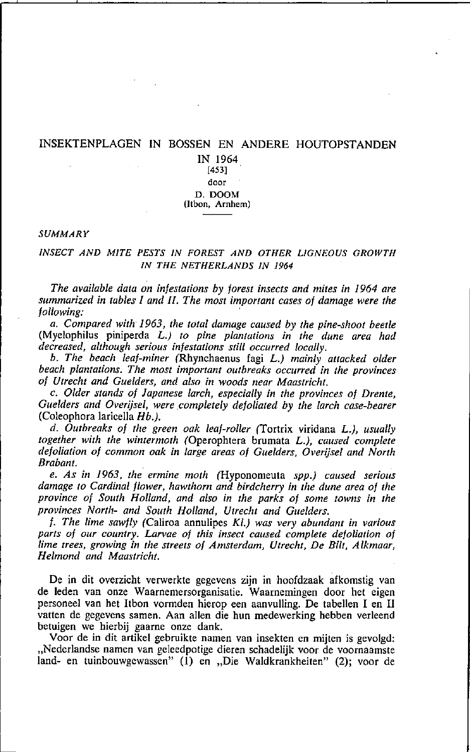### INSEKTENPLAGEN IN BOSSEN EN ANDERE HOUTOPSTANDEN

IN 1964 [453] **door**  D.DOOM **(ltbon, Arnhem)** 

### *SUMMARY*

### *INSECT AND MITE PESTS IN FOREST AND OTHER L1GNEOUS GROWTH IN THE NETHERLANDS IN 1964*

*The available data on infestations by forest insects and mites in* 1964 *are summarized in tables* 1 *and Il. The most important cases of damage were the following: .* 

*a. Compared with* 1963, *the total damage eaused by the pine-shool beetle*  (Myelophilus piniperda L.) *to pine planlations in the dune area had decreased, allhough serious infestations still occurred loeally.* 

*b. The beach leaf-miner* (Rhynchaenus fagi L.) *mainly attacked older* beach plantations. The most important outbreaks occurred in the provinces *of Utrecht and Guelders, and also in woods near Maastricht.* 

c. *Older stands of Japanese larch, espedally in the provinces of Drente,*  Guelders and Overijsel, were completely defoliated by the larch case-bearer (Coleophora larieelia *Hb.).* 

*d. Outbreaks of the green aak leaf-roller* (Tartrix viridana L.), *usually togelher with the wintermoth* (Operophtera brumata L.), *caused complete defoliation of comman aak in large areas of Guelders, Overijsel and North Brabant.* 

*e. As in* 1963, *the ermine moth* (Hyponomeuta *spp.) caused serious damage to Cardinal flower, hawthom and birdcherry in the dune area of the province of SOUlh Holland, and also in the parks of same IOwns in the provinces Norlh- and Soulh Holland, Utrecht and Guelders.* 

*f. The lime sawfly* (Caliroa annulipes *Kl.) was very abundant in various*  parts of our country. Larvae of this insect caused complete defoliation of *lime trees, growing in the streets of Amsterdam, Utrecht, De Bilt, Alkmaar, Helmond and Maastricht.* 

De in dit overzicht verwerkte gegevens zijn in hoofdzaak afkomstig van de leden van onze Waarnemersorganisatie. Waarnemingen door het eigen personeel van het Itbon vormden hierop een aanvulling. De tabellen I en II vatten de gegevens samen. Aan allen die hun medewerking hebben verleend betuigen we hierbij gaarne onze dank.

Voor de in dit artikel gebruikte namen van insekten en mijten is gevolgd: "Nederlandse namen van geleedpotige dieren schadelijk voor de voornaamste land- en tuinbouwgewassen" (1) en "Die Waldkrankheiten" (2); voor de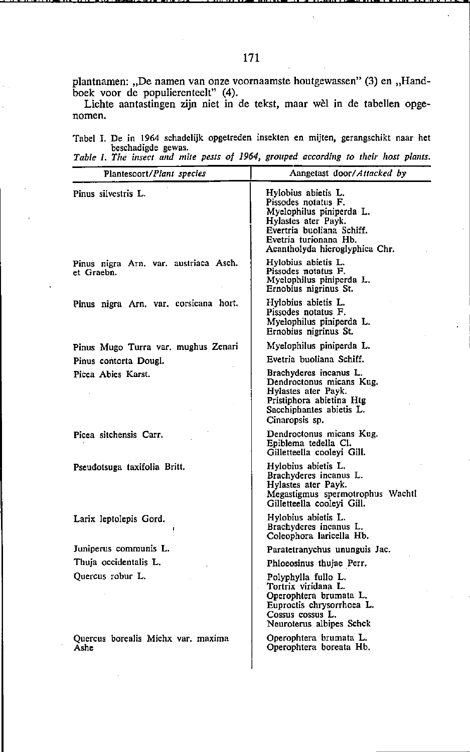plantnamen: "De namen van onze voornaamste houtgewassen" (3) en "Handboek voor de populierenteelt" (4).

Lichte aantastingen zijn niet in de tekst, maar wèl in de tabellen opge**nomen.** 

**Tabel J. De in 1964 schadelijk opgetreden insekten en mijten, gerangschikt naar het beschadigde gewas.**  *Table* **1.** *Tlle insect and mile pests of* **1964,** *grouped accordillg 10* **flle;r** *host plants.* 

| Plantesoort/Plant species                           | Aangetast door/Attacked by                                                                                                                                                            |
|-----------------------------------------------------|---------------------------------------------------------------------------------------------------------------------------------------------------------------------------------------|
| Pinus silvestris L.                                 | Hylobius abietis L.<br>Pissodes notatus F.<br>Myelophilus piniperda L.<br>Hylastes ater Payk.<br>Evertria buoliana Schiff.<br>Evetria turionana Hb.<br>Acantholyda hieroglyphica Chr. |
| Pinus nigra Arn, var. austriaca Asch.<br>et Graebn. | Hylobius abietis L.<br>Pissodes notatus F.<br>Myelophilus piniperda L.<br>Ernobius nigrinus St.                                                                                       |
| Pinus nigra Arn. var. corsicana hort.               | Hylobius abietis L.<br>Pissodes notatus F.<br>Myelophilus piniperda L.<br>Ernobius nigrinus St.                                                                                       |
| Pinus Mugo Turra var. mughus Zenari                 | Myelophilus piniperda L.                                                                                                                                                              |
| Pinus contorta Dougl.                               | Evetria buoliana Schiff.                                                                                                                                                              |
| Picea Abies Karst.                                  | Brachyderes incanus L.<br>Dendroctonus micans Kug.<br>Hylastes ater Payk.<br>Pristiphora abietina Htg<br>Sacchiphantes abietis L.<br>Cinaropsis sp.                                   |
| Picea sitchensis Carr.                              | Dendroctonus micans Kug.<br>Epiblema tedella Cl.<br>Gilletteella cooleyi Gill.                                                                                                        |
| Pseudotsuga taxifolia Britt.                        | Hylobius abietis L.<br>Brachyderes incanus L.<br>Hylastes ater Payk.<br>Megastigmus spermotrophus Wachtl<br>Gilletteella cooleyi Gill.                                                |
| Larix leptolepis Gord.                              | Hylobius abietis L.<br>Brachyderes incanus L.<br>Coleophora laricella Hb.                                                                                                             |
| Juniperus communis L.                               | Paratetranychus ununguis Jac.                                                                                                                                                         |
| Thuia occidentalis L.                               | Phloeosinus thujae Perr.                                                                                                                                                              |
| Quercus robur L.                                    | Polyphylla fullo L.<br>Tortrix viridana L.<br>Operophtera brumata L.<br>Euproctis chrysorrhoea L.<br>Cossus cossus L.<br>Neuroterus albipes Schck                                     |
| Quercus borealis Michx var. maxima<br>Ashe          | Operophiera brumata L.<br>Operophtera boreata Hb.                                                                                                                                     |
|                                                     |                                                                                                                                                                                       |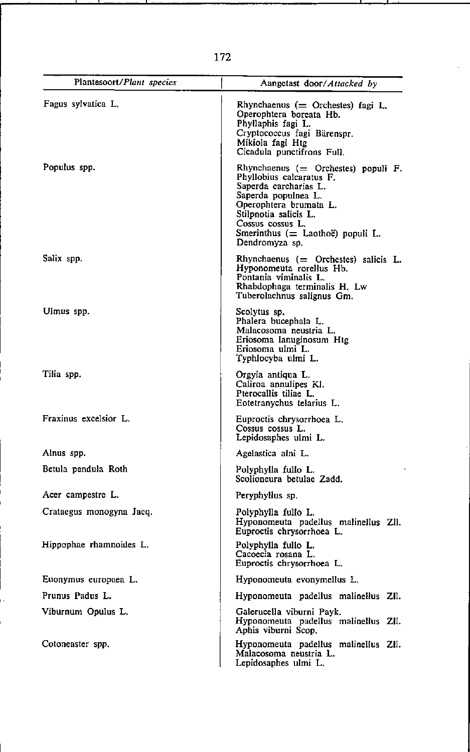| Plantesoort/Plant species | Aangetast door/Attacked by                                                                                                                                                                                                                      |
|---------------------------|-------------------------------------------------------------------------------------------------------------------------------------------------------------------------------------------------------------------------------------------------|
| Fagus sylvatica L.        | Rhynchaenus $($ Orchestes) fagi L.<br>Operophtera boreata Hb.<br>Phyllaphis fagi L.<br>Cryptococcus fagi Bärenspr.<br>Mikiola fagi Htg<br>Cicadula punctifrons Full.                                                                            |
| Populus spp.              | Rhynchaenus ( $=$ Orchestes) populi F.<br>Phyllobius calcaratus F.<br>Saperda carcharias L.<br>Saperda populnea L.<br>Operophtera brumata L.<br>Stilpnotia salicis L.<br>Cossus cossus L.<br>Smerinthus (= Laothoë) populi L.<br>Dendromyza sp. |
| Salix spp.                | Rhynchaenus $($ $=$ Orchestes) salicis L.<br>Hyponomeuta rorellus Hb.<br>Pontania viminalis L.<br>Rhabdophaga terminalis H. Lw<br>Tuberolachnus salignus Gm.                                                                                    |
| Ulmus spp.                | Scolytus sp.<br>Phalera bucephala L.<br>Malacosoma neustria L.<br>Eriosoma lanuginosum Htg<br>Eriosoma ulmi L.<br>Typhlocyba ulmi L.                                                                                                            |
| Tilia spp.                | Orgyia antiqua L.<br>Caliroa annulipes Kl.<br>Pterocallis tiliae L.<br>Eotetranychus telarius L.                                                                                                                                                |
| Fraxinus excelsior L.     | Euproctis chrysorrhoea L.<br>Cossus cossus L.<br>Lepidosaphes ulmi L.                                                                                                                                                                           |
| Alnus spp.                | Agelastica alni L.                                                                                                                                                                                                                              |
| Betula pendula Roth       | Polyphylla fullo L.<br>Scolioneura betulae Zadd.                                                                                                                                                                                                |
| Acer campestre L.         | Peryphyllus sp.                                                                                                                                                                                                                                 |
| Crataegus monogyna Jacq.  | Polyphylla fullo L.<br>Hyponomeuta padellus malinellus Zll.<br>Euproctis chrysorrhoea L.                                                                                                                                                        |
| Hippophae rhamnoides L.   | Polyphylla fullo L.<br>Cacoecia rosana L.<br>Euproctis chrysorrhoea L.                                                                                                                                                                          |
| Euonymus europaea L.      | Hyponomeuta evonymellus L.                                                                                                                                                                                                                      |
| Prunus Padus L.           | Hyponomeuta padellus malinellus ZII.                                                                                                                                                                                                            |
| Viburnum Opulus L.        | Galerucella viburni Payk.<br>Hyponomeuta padellus malinellus ZII.<br>Aphis viburni Scop.                                                                                                                                                        |
| Cotoneaster spp.          | Hyponomeuta padellus malinellus ZII.<br>Malacosoma neustria L.<br>Lepidosaphes ulmi L.                                                                                                                                                          |

172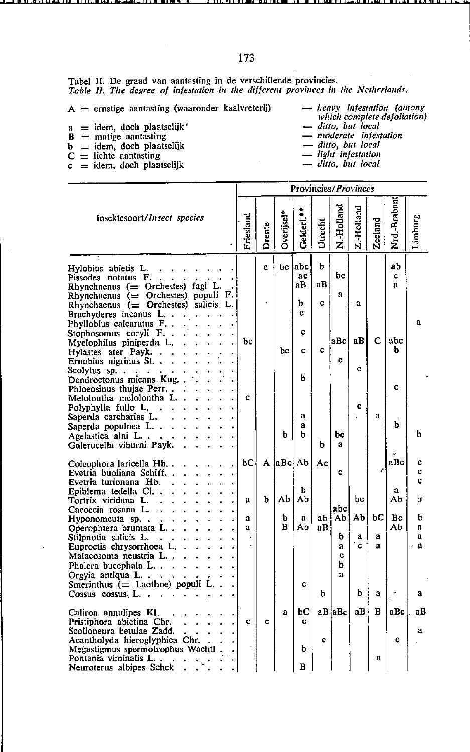$A =$  ernstige aantasting (waaronder kaalvreterij)

 $a$  = idem, doch plaatselijk'

- $\ddot{B}$  = matige aantasting
- 
- 
- $b = idem$ , doch plaatselijk<br>  $C =$  lichte aantasting<br>  $c = idem$ , doch plaatselijk
- $-$  heavy infestation (among<br>which complete defoliation)
- 
- mint complete<br>  $\frac{d}{dt}$  moderate infestation<br>  $\frac{d}{dt}$  infestation<br>  $\frac{d}{dt}$  infestation
- 
- 
- ditto, but local

|                                                                                                                                                                                                                                                                                                                                                                                                                         | Provincies/Provinces |        |            |                                             |                   |                              |              |              |                               |                             |
|-------------------------------------------------------------------------------------------------------------------------------------------------------------------------------------------------------------------------------------------------------------------------------------------------------------------------------------------------------------------------------------------------------------------------|----------------------|--------|------------|---------------------------------------------|-------------------|------------------------------|--------------|--------------|-------------------------------|-----------------------------|
| Insektesoort/Insect species                                                                                                                                                                                                                                                                                                                                                                                             | Friesland            | Drente | Overijsel* | Gelderl. <sup>*</sup>                       | Utrecht           | N.-Holland                   | Z.-Holland   | Zeeland      | Nrd.-Braban                   | Limburg                     |
| Hylobius abietis L.<br>$\overline{a}$<br>Pissodes notatus F.<br>Rhynchaenus $($ Orchestes) fagi L.<br>Rhynchaenus ( $=$ Orchestes) populi F.<br>Rhynchaenus $($ Orchestes) salicis L.<br>Brachyderes incanus L<br>Phyllobius calcaratus F<br>Stophosomus coryli F. .<br>Myelophilus piniperda L.<br>Hylastes ater Payk. .<br>Ernobius nigrinus St<br>Scolytus sp<br>Dendroctonus micans Kug.<br>Phloeosinus thujae Perr | bc                   | c.     | bc         | bc abc<br>ac<br>aB<br>b<br>c<br>Ċ<br>c<br>ь | Ы<br>aВ<br>Ċ<br>c | bc<br>a.<br>aBc<br>c         | a<br>aВ<br>¢ | с            | ab<br>¢<br>a<br>abc<br>b<br>c | a                           |
| Melolontha melolontha L.<br>Polyphylla fullo L.<br>$\mathbf{r}$<br>Saperda carcharias L.<br>Saperda populnea L<br>Agelastica alni L<br>Galerucella viburni Payk.                                                                                                                                                                                                                                                        | c                    |        | b          | a<br>a<br>ь                                 | b                 | bc<br>a                      | ¢            | a            | b                             | b                           |
| Coleophora laricella Hb<br>Evetria buoliana Schiff. .<br>Evetria turionana Hb.                                                                                                                                                                                                                                                                                                                                          | bС                   |        |            | A aBc Ab                                    | Aс                | c                            |              | z            | aBc                           | c<br>c<br>C                 |
| Epiblema tedella Cl.,<br>Tortrix viridana L.<br>Cacoecia rosana L.                                                                                                                                                                                                                                                                                                                                                      | a                    | b      | Abl        | b<br>Ab                                     |                   | abc                          | bc           |              | a<br>Ab                       | ь                           |
| Hyponomeuta sp<br>Operophtera brumata L<br>Stilpnotia salicis L.<br>$\ddotsc$<br>Euproctis chrysorrhoea L.<br>Malacosoma neustria L<br>Phalera bucephala L<br>Orgyia antiqua $L \cdot \cdot$                                                                                                                                                                                                                            | a<br>a               |        | ь<br>в     | a<br>Аb                                     | ab l<br>aВ        | Аb<br>ь<br>a<br>Ċ<br>b<br>ā. | AЬ<br>a<br>Ć | bС<br>a<br>a | Bc<br>Ab                      | b<br>ā<br>a<br>$\mathbf{a}$ |
| Smerinthus $($ Laothoe) populi L.<br>Cossus cossus L. .<br>÷.                                                                                                                                                                                                                                                                                                                                                           |                      |        |            | ¢                                           | b                 |                              | b            | a            | $\pmb{\tau}$                  | a                           |
| Caliroa annulipes Kl.<br>Pristiphora abietina Chr.<br>Scolioneura betulae Zadd.<br>Acantholyda hieroglyphica Chr.<br>Megastigmus spermotrophus Wachtl.<br>Pontania viminalis L<br>Neuroterus albipes Schck                                                                                                                                                                                                              | c                    | c      | a          | bС<br>C.<br>ь<br>в                          | c                 | aB aBc                       | aB l         | B<br>a       | aBc<br>Ċ                      | aВ<br>a                     |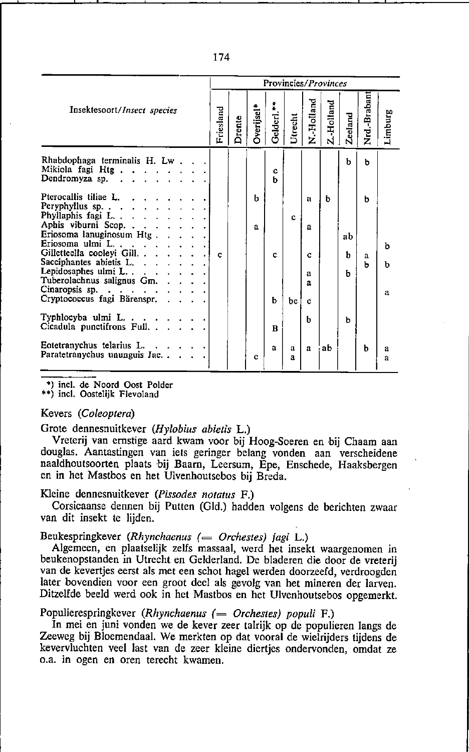|                                                                                                                                                                                                                                                                                                                                                                                                                                                                                                   |           | Provincies/Provinces |                   |                          |                   |                                 |           |                   |             |             |
|---------------------------------------------------------------------------------------------------------------------------------------------------------------------------------------------------------------------------------------------------------------------------------------------------------------------------------------------------------------------------------------------------------------------------------------------------------------------------------------------------|-----------|----------------------|-------------------|--------------------------|-------------------|---------------------------------|-----------|-------------------|-------------|-------------|
| Insektesoort/Insect species                                                                                                                                                                                                                                                                                                                                                                                                                                                                       | Friesland | Drente               | Overijsel         | Gelderl.**               | Utrecht           | N.-Holland                      | Z Holland | <b>Zeeland</b>    | Nrd-Braban  | Limburg     |
| Rhabdophaga terminalis H. Lw.<br>Mikiola fagi Htg.<br>Dendromyza sp. $\cdot \cdot \cdot \cdot$                                                                                                                                                                                                                                                                                                                                                                                                    |           |                      |                   | c<br>ħ                   |                   |                                 |           | ħ                 | b           |             |
| Pterocallis tiliae L.<br>Peryphyllus sp.<br>Phyllaphis fagi L.<br>Aphis viburni Scop.<br>Eriosoma lanuginosum Htg.<br>$\cdots$<br>Eriosoma ulmi L.<br>Gilletteella cooleyi Gill.<br>Sacciphantes abietis L.<br>Lepidosaphes ulmi $L \cdot \cdot \cdot \cdot \cdot$<br>Tuberolachnus salignus Gm.<br>Cinaropsis sp. $\ddot{ }$ . $\ddot{ }$ . $\ddot{ }$ . $\ddot{ }$ . $\ddot{ }$ . $\ddot{ }$ . $\ddot{ }$ .<br>Cryptococcus fagi Barenspr.<br>Typhlocyba ulmi $L \cdot \cdot \cdot \cdot \cdot$ | c         |                      | ь<br>$\mathbf{a}$ | c<br>ħ                   | c<br>bc           | a<br>a<br>Ċ<br>а<br>a<br>c<br>h | ь         | ab<br>ь<br>ь<br>h | ь<br>а<br>ь | ь<br>b<br>a |
| Cicadula punctifrons Full<br>$\sim$ $\sim$<br>Eotetranychus telarius L.<br><b>Contract Contract</b><br>Paratetranychus ununguis Jac                                                                                                                                                                                                                                                                                                                                                               |           |                      | c                 | $\bf{B}$<br>$\mathbf{a}$ | a<br>$\mathbf{a}$ | a                               | ab        |                   | h           | а           |
|                                                                                                                                                                                                                                                                                                                                                                                                                                                                                                   |           |                      |                   |                          |                   |                                 |           |                   |             | a           |

\*) incl. de Noord Oost Polder

\*\*) incl. Oostelijk Flevoland

### Kevers (Coleoptera)

Grote dennesnuitkever (Hylobius abietis L.)

Vreterij van ernstige aard kwam voor bij Hoog-Soeren en bij Chaam aan douglas. Aantastingen van iets geringer belang vonden aan verscheidene naaldhoutsoorten plaats bij Baarn, Leersum, Epe, Enschede, Haaksbergen en in het Mastbos en het Ulvenhoutsebos bij Breda.

## Kleine dennesnuitkever (Pissodes notatus F.)

Corsicaanse dennen bij Putten (Gld.) hadden volgens de berichten zwaar van dit insekt te lijden.

Beukespringkever (Rhynchaenus (= Orchestes) fagi L.)

Algemeen, en plaatselijk zelfs massaal, werd het insekt waargenomen in beukenopstanden in Utrecht en Gelderland. De bladeren die door de vreterij van de kevertjes eerst als met een schot hagel werden doorzeefd, verdroogden later bovendien voor een groot deel als gevolg van het mineren der larven. Ditzelfde beeld werd ook in het Mastbos en het Ulvenhoutsebos opgemerkt.

Populierespringkever (Rhynchaenus  $($  = Orchestes) populi  $F$ .)

In mei en juni vonden we de kever zeer talrijk op de populieren langs de Zeeweg bij Bloemendaal. We merkten op dat vooral de wielrijders tijdens de kevervluchten veel last van de zeer kleine diertjes ondervonden, omdat ze o.a. in ogen en oren terecht kwamen.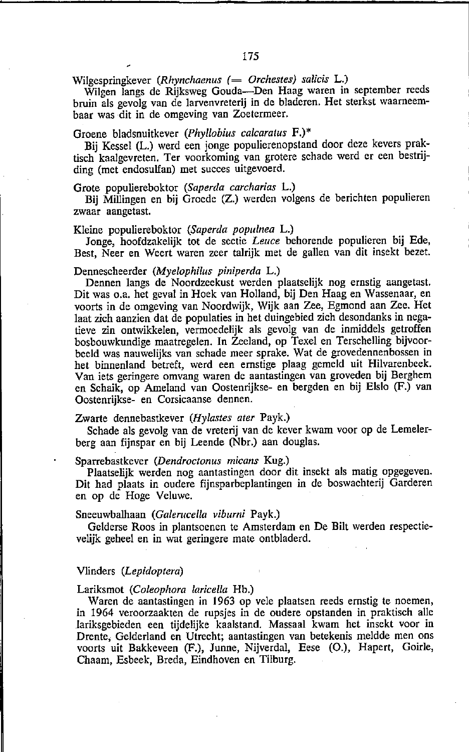Wilgespringkever *(Rhynchaenus <sup>(</sup>= Orchestes)* salicis L.)

Wilgen langs de Rijksweg Gouda-Den Haag waren in september reeds bruin als gevolg van de larvenvreterij in de bladeren. Het sterkst waarneembaar was dit in de omgeving van Zoetermeer.

### Groene bladsnuitkever *(Phyllobius calcaraius* F.)"

Bij Kessel (L.) werd een jonge populierenopstand door deze kevers praktisch kaalgevreten. Ter voorkoming van grotere schade werd er een bestrijding (met endosulfan) met succes uitgevoerd.

## Grote populiereboktor *(Saperda carcharias* L.)

Bij Millingen en bij Groede (Z.) werden volgens de berichten populieren zwaar aangetast.

#### Kleine populiereboktor *(Saperda populnea* L.)

Jonge, hoofdzakelijk tot de sectie *Leuce* behorende populieren bij Ede, Best, Neer en Weert waren zeer talrijk met de gallen van dit insekt bezet.

#### Dennescheerder *(Myelophilus piniperda* L.)

Dennen langs de Noordzeekust werden plaatselijk nog ernstig aangetast. Dit was o.a. het geval in Hoek van Holland, bij Den Haag en Wassenaar, en voorts in de omgeving van Noordwijk, Wijk aan Zee, Egmond aan Zee. Het laat zich aanzien dat de populaties in het duingebied zich desondanks in negatieve zin ontwikkelen, vermoedelijk als gevolg van de inmiddels getroffen bosbouwkundige maatregelen. **In** Zeeland, op Texel en Terschelling bijvoorbeeld was nauwelijks van schade meer sprake. Wat de grovedennenbossen in het binnenland betreft, werd een ernstige plaag gemeld uit Hilvarenbeek. Van iets geringere omvang waren de aantastingen van groveden bij Berghem en Schaik, op Ameland van Oostenrijkse- en bergden en bij Elslo (F.) van Oostenrijkse- en Corsicaanse dennen.

### Zwarte dennebastkever *(Hylastes ater* Payk.)

Schade als gevolg van de vreterij van de kever kwam voor op de Lemelerberg aan fijnspar en bij Leende (Nbr.) aan douglas.

#### Sparrebastkever *(Dendroctonus micans* Kug.)

Plaatselijk werden nog aantastingen door dit insekt als matig opgegeven. Dit had plaats in oudere fijnsparbeplantingen in de boswachterij Garderen en op de Hoge Veluwe.

#### Sneeuwbalhaan *(Galerucella viburni Payk.)*

Gelderse Roos in plantsoenen te Amsterdam en De Bilt werden respectievelijk geheel en in wat geringere mate ontbladerd.

#### Vlinders *(Lepidoptera)*

#### Lariksmot *(Coleophora laricella* Hb.)

Waren de aantastingen in 1963 op vele plaatsen reeds ernstig te noemen, in 1964 veroorzaakten de rupsjes in de oudere opstanden in praktisch alle lariksgebieden een tijdelijke kaalstand. Massaal kwam het insekt voor in Drente. Gelderland en Utrecht; aantastingen van betekenis meldde men ons voorts uit Bakkeveen (F.), Junne, Nijverdal, Eese (0.), Hapert, Goirle, Chaam, Esbeek, Breda, Eindhoven en Tilburg.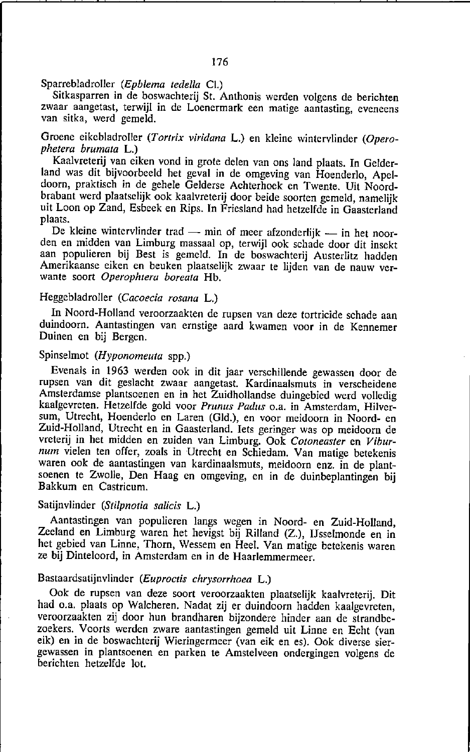Sparrebladroller *(Epblema IedelIa* Cl.)

Sitkasparren in de boswachterij St. Anthonis werden volgens de berichten **zwaar aangetast, terwijl in de Loenermark een matige aantasting, eveneens**  van sitka, werd gemeld.

Groene eikebladroller (Tortrix viridana L.) en kleine wintervlinder (Opero*phetera brumala* L.)

Kaalvreterij van eiken vond in grote delen van ons land plaats. **In** Gelderland was dit bijvoorbeeld het geval in de omgeving van Hoenderla, Apeldoorn, praktisch in de gehele Gelderse Achterhoek en Twente. Uit Noordbrabant werd plaatselijk ook kaalvreterij door beide soorten gemeld, namelijk uit Loon op Zand, Esbeek en Rips. In Friesland had hetzelfde in Gaasterland plaats.

De kleine wintervlinder trad - min of meer afzonderlijk - in het noorden en midden van Limburg massaal op, terwijl ook schade door dit insekt aan populieren bij Best is gemeld. **In** de boswachterij Austerlitz hadden Amerikaanse eiken en beuken plaatselijk zwaar te lijden van de nauw verwante soort *Operophlera boreata* Hb.

### Heggebladroller *(Caeoecia rosana* L.)

In Noord-Holland veroorzaakten de rupsen van deze tortricide schade aan duindoorn. Aantastingen van ernstige aard kwamen voor in de Kennemer Duinen en bij Bergen.

# Spinselmot *(Hyponomeuta* spp.)

Evenals in 1963 werden ook in dit jaar verschillende gewassen door de rupsen van dit geslacht zwaar aangetast. Kardinaalsmuts in verscheidene Amsterdamse plantsoenen en in het Zuidhollandse duingebied werd volledig kaalgevreten. Hetzelfde gold voor *Prunus Padus* o.a. in Amsterdam, Hilversum, Utrecht, Hoenderlo en Laren (Gld.), en vaar meidoorn in Noord- en Zuid-Holland, Utrecht en in Gaasterland. Iets geringer was op meidoorn de vreterij in het midden en zuiden van Limburg. Ook *Cotoneaster* en *Viburnum* vielen ten offer, zoals in Utrecht en Schiedam. Van matige betekenis waren ook de aantastingen van kardinaalsmuts, meidoorn enz. in de plantsoenen te Zwolle, Den Haag en omgeving, en in de duinbeplantingen hij Bakkum en Castricum.

### Satijnvlinder *(Stilpnotia salicis* L.)

Aantastingen van populieren langs wegen in Noord- en Zuid-Holland, Zeeland en Limburg waren het hevigst bij Rilland (Z.), IJsselmonde en in het gebied van Linne, Thorn, Wessem en Heel. Van matige betekenis waren ze bij Dinteloord, in Amsterdam en in de Haarlemmermeer.

### Bastaardsatijnvlinder *(Euproetis ehrysorrhoea* L.)

Ook de rupsen van deze soort veroorzaakten plaatselijk kaalvreterij . Dit had o.a. plaats op Walcheren. Nadat zij er duindoorn hadden kaalgevreten, veroorzaakten zij door hun brandharen bijzondere hinder aan de strandbezoekers. Voorts werden zware aantastingen gemeld uit Linne en Echt (van eik) en in de boswachterij Wieringermeer (van eik en es). Ook diverse siergewassen in plantsoenen en parken te Amstelveen ondergingen volgens de berichten hetzelfde lot.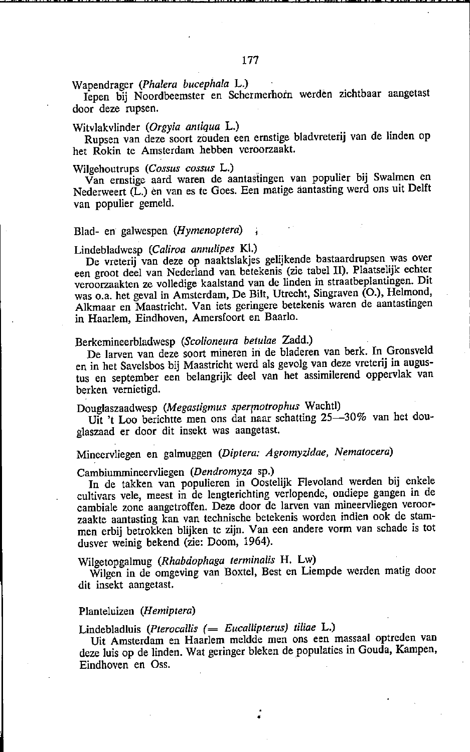# Wapendrager *(Phalera bucephala* L.)

Iepen bij Noordbeemster en Schermerhoin werdén zichtbaar aangetast door deze rupsen.

## Witvlakvlinder *(Orgyia antiqua* L.)

Rupsen van deze soort zouden een ernstige bladvreterij van de linden op het Rokin te Amsterdam hebben veroorzaakt.

### Wilgehoutrups *(Cossus cossus* L.)

Van ernstige aard waren de aantasïingen van populier bij Swalmen en Nederweert (L.) en van es te Goes. Een matige aantasting werd ons uit Delft van populier gemeld.

### Blad- en galwespen *(Hymenoplera)*

### Lindebladwesp *(Caliroa annulipes* KI.)

De vreterij van deze op naaktslakjes gelijkende bastaardrupsen was over een groot deel van Nederland van betekenis (zie tabel Il). Plaatselijk echter veroorzaakten ze volledige kaalstand van de linden in straatbeplantingen. Dit was O.a. het geval in Amsterdam, De Bilt, Utrecht, Singraven (0.), Helmond, Alkmaar en Maastricht. Van iets geringere betekenis waren de aantastingen in Haarlem, Eindhoven, Amersfoort en Baarlo.

# Berkernineerbladwesp *(Scolioneura betulae* Zadd.)

De larven van deze soort rnineren in de bladeren van berk. In Gronsveld en in het Savelsbos bij Maastricht werd als gevolg van deze vreterij in augustus en september een belangrijk deel van het assimilerend oppervlak van berken vernietigd.

# Douglaszaadwesp *(Megastigmus sperlnotrophus* Wachtl)

Uit 't Loo berichtte men ons dat naar schatting 25-30% van het douglaszaad er door dit insekt was aangetast.

# Mineervliegen en galmuggen *(Diptera: Agromyzidae, Nematocera)*

### Cambiummineervliegen *(Dendromyza* sp.)

In de takken van populieren in Oostelijk Flevoland werden bij enkele cultivars vele, meest in de lengterichting verlopende, ondiepe gangen in de cambiale zone aangetroffen. Deze door de larven van mineervliegen veroorzaakte aantasting kan van technische betekenis worden indien ook de stammen erbij betrokken blijken te zijn. Van een andere vorm van schade is tot dusver weinig bekend (zie: Doom, 1964).

# Wilgetopgalmug *(Rhabdophaga terminalis* H. Lw)

Wilgen in de omgeving van Boxtel, Best en Liempde werden matig door dit insekt aangetast.

### Planteluizen *(Hemiptera)*

Lindebladluis (Pterocallis (= Eucallipterus) tiliae L.)

Uit Amsterdam en Haarlem meldde men ons een massaal optreden van deze luis op de linden. Wat geringer bleken de populaties in Gouda, Kampen, Eindhoven en Oss.

•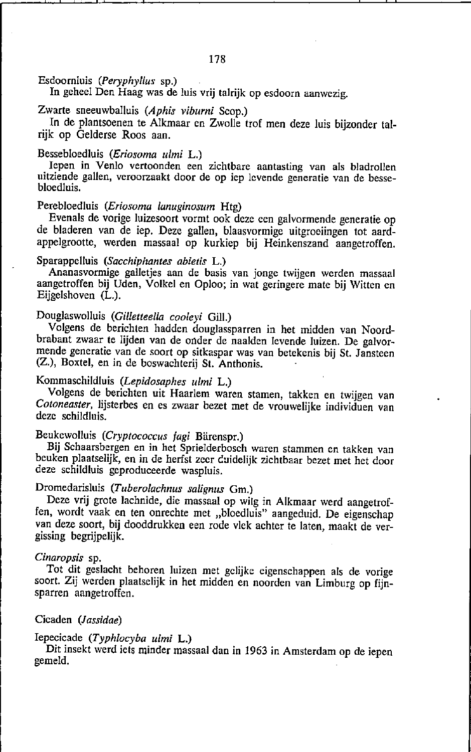Esdoornluis *(peryphyllus* sp.)

In geheel Den Haag was de luis vrij talrijk op esdoorn aanwezig.

Zwarte sneeuwballuis *(Aphis viburni* Scop.)

In de plantsoenen te Alkmaar en Zwolle trof men deze luis bijzonder talrijk op Gelderse Roos aan.

Bessebloedluis *(Eriosoma ulmi* L.)

Iepen in Venlo vertoonden een zichtbare aantasting van als bladrollen uitziende gallen, veroorzaakt door de op iep levende generatie van de bessebloedluis.

# Perebloedluis *(Eriosoma lanuginosum* Htg)

Evenals de vorige luizesoort vormt ook deze een galvormende generatie op de bladeren van de iep. Deze gallen, blaasvormige uitgroeiingen tot aardappelgrootte, werden massaal op kurkiep bij Heinkenszand aangetroffen.

## Sparappelluis *(Sacchiphantes abietis* L.)

Ananasvormige galletjes aan de basis van jonge twijgen werden massaal aangetroffen bij Uden, Voikei en Oploo; in wat geringere mate bij Witten en Eijgelshoven (L.).

# Douglaswolluis *(Gil/etleella cooleyi* Oill.)

Volgens de berichten hadden douglassparren in het midden van Noordbrabant zwaar te lijden van de onder de naalden levende luizen. De galvormende generatie van de soort op sitkaspar was van betekenis bij St. Jansteen (Z.), Boxtel, en in de boswachterij St. Anthonis.

# Kommaschildluis *(Lepidosaphes ulmi* L.)

Volgens de berichten uit Haarlem waren stamen, takken en twijgen van *Coloneasler,* lijsterbes en es zwaar bezet met de vrouwelijke individuen van deze schildluis.

# Beukewolluis *(Cryplococcus lagi* Bärenspr.)

Bij Schaarsbergen en in het SprieJderbosch waren stammen en takken van beuken plaatselijk, en in de herfst zeer duidelijk zichtbaar bezet met het door deze schildluis geproduceerde waspluis.

# Dromedarisluis *(Tuberolachnus sa/ignus* Om.)

Deze vrij grote Jachnide, die massaal op wilg in Alkmaar werd aangetroffen, wordt vaak en ten onrechte met "bloedluis" aangeduid. De eigenschap van deze soort, bij dooddrukken een rode vlek achter te laten, maakt de vergissing begrijpelijk.

## *Cinaropsis* sp.

Tot dit geslacht behoren luizen met gelijke eigenschappen als de vorige soort. Zij werden plaatselijk in het midden en noorden van Limburg op fijnsparren aangetroffen.

# Cicaden *(Jassidae)*

# Iepecicade *(Typhlocyba ulmi* L.)

Dit insekt werd iets minder massaal dan in 1963 in Amsterdam op de iepen gemeld.